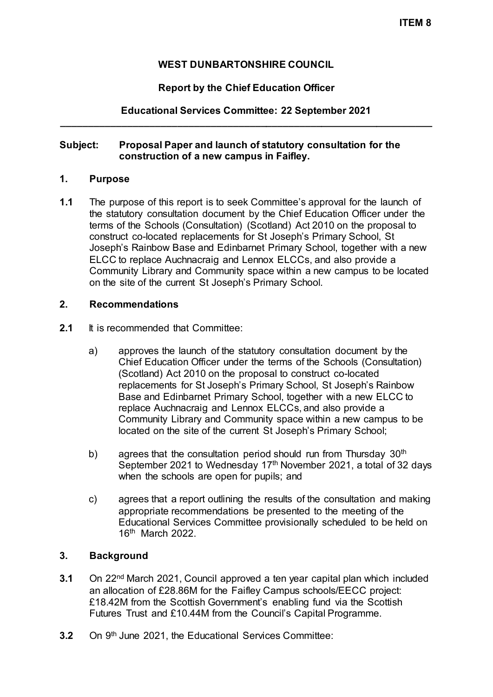# **WEST DUNBARTONSHIRE COUNCIL**

### **Report by the Chief Education Officer**

# **Educational Services Committee: 22 September 2021 \_\_\_\_\_\_\_\_\_\_\_\_\_\_\_\_\_\_\_\_\_\_\_\_\_\_\_\_\_\_\_\_\_\_\_\_\_\_\_\_\_\_\_\_\_\_\_\_\_\_\_\_\_\_\_\_\_\_\_\_\_\_\_\_\_\_\_**

#### **Subject: Proposal Paper and launch of statutory consultation for the construction of a new campus in Faifley.**

#### **1. Purpose**

**1.1** The purpose of this report is to seek Committee's approval for the launch of the statutory consultation document by the Chief Education Officer under the terms of the Schools (Consultation) (Scotland) Act 2010 on the proposal to construct co-located replacements for St Joseph's Primary School, St Joseph's Rainbow Base and Edinbarnet Primary School, together with a new ELCC to replace Auchnacraig and Lennox ELCCs, and also provide a Community Library and Community space within a new campus to be located on the site of the current St Joseph's Primary School.

### **2. Recommendations**

- **2.1** It is recommended that Committee:
	- a) approves the launch of the statutory consultation document by the Chief Education Officer under the terms of the Schools (Consultation) (Scotland) Act 2010 on the proposal to construct co-located replacements for St Joseph's Primary School, St Joseph's Rainbow Base and Edinbarnet Primary School, together with a new ELCC to replace Auchnacraig and Lennox ELCCs, and also provide a Community Library and Community space within a new campus to be located on the site of the current St Joseph's Primary School;
	- b) agrees that the consultation period should run from Thursday 30<sup>th</sup> September 2021 to Wednesday 17<sup>th</sup> November 2021, a total of 32 days when the schools are open for pupils; and
	- c) agrees that a report outlining the results of the consultation and making appropriate recommendations be presented to the meeting of the Educational Services Committee provisionally scheduled to be held on 16th March 2022.

### **3. Background**

- **3.1** On 22nd March 2021, Council approved a ten year capital plan which included an allocation of £28.86M for the Faifley Campus schools/EECC project: £18.42M from the Scottish Government's enabling fund via the Scottish Futures Trust and £10.44M from the Council's Capital Programme.
- **3.2** On 9<sup>th</sup> June 2021, the Educational Services Committee: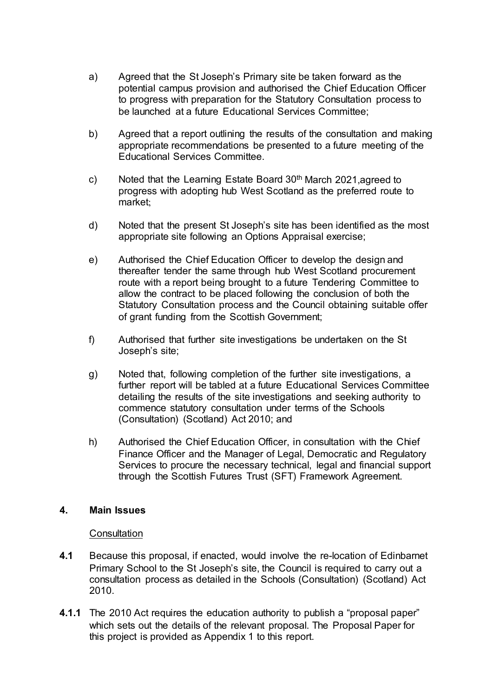- a) Agreed that the St Joseph's Primary site be taken forward as the potential campus provision and authorised the Chief Education Officer to progress with preparation for the Statutory Consultation process to be launched at a future Educational Services Committee;
- b) Agreed that a report outlining the results of the consultation and making appropriate recommendations be presented to a future meeting of the Educational Services Committee.
- c) Noted that the Learning Estate Board  $30<sup>th</sup>$  March 2021, agreed to progress with adopting hub West Scotland as the preferred route to market;
- d) Noted that the present St Joseph's site has been identified as the most appropriate site following an Options Appraisal exercise;
- e) Authorised the Chief Education Officer to develop the design and thereafter tender the same through hub West Scotland procurement route with a report being brought to a future Tendering Committee to allow the contract to be placed following the conclusion of both the Statutory Consultation process and the Council obtaining suitable offer of grant funding from the Scottish Government;
- f) Authorised that further site investigations be undertaken on the St Joseph's site;
- g) Noted that, following completion of the further site investigations, a further report will be tabled at a future Educational Services Committee detailing the results of the site investigations and seeking authority to commence statutory consultation under terms of the Schools (Consultation) (Scotland) Act 2010; and
- h) Authorised the Chief Education Officer, in consultation with the Chief Finance Officer and the Manager of Legal, Democratic and Regulatory Services to procure the necessary technical, legal and financial support through the Scottish Futures Trust (SFT) Framework Agreement.

### **4. Main Issues**

#### **Consultation**

- **4.1** Because this proposal, if enacted, would involve the re-location of Edinbarnet Primary School to the St Joseph's site, the Council is required to carry out a consultation process as detailed in the Schools (Consultation) (Scotland) Act 2010.
- **4.1.1** The 2010 Act requires the education authority to publish a "proposal paper" which sets out the details of the relevant proposal. The Proposal Paper for this project is provided as Appendix 1 to this report.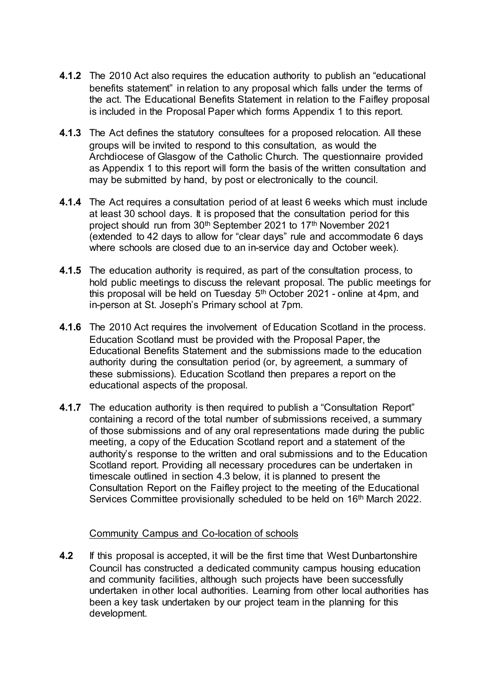- **4.1.2** The 2010 Act also requires the education authority to publish an "educational benefits statement" in relation to any proposal which falls under the terms of the act. The Educational Benefits Statement in relation to the Faifley proposal is included in the Proposal Paper which forms Appendix 1 to this report.
- **4.1.3** The Act defines the statutory consultees for a proposed relocation. All these groups will be invited to respond to this consultation, as would the Archdiocese of Glasgow of the Catholic Church. The questionnaire provided as Appendix 1 to this report will form the basis of the written consultation and may be submitted by hand, by post or electronically to the council.
- **4.1.4** The Act requires a consultation period of at least 6 weeks which must include at least 30 school days. It is proposed that the consultation period for this project should run from 30<sup>th</sup> September 2021 to 17<sup>th</sup> November 2021 (extended to 42 days to allow for "clear days" rule and accommodate 6 days where schools are closed due to an in-service day and October week).
- **4.1.5** The education authority is required, as part of the consultation process, to hold public meetings to discuss the relevant proposal. The public meetings for this proposal will be held on Tuesday  $5<sup>th</sup>$  October 2021 - online at 4pm, and in-person at St. Joseph's Primary school at 7pm.
- **4.1.6** The 2010 Act requires the involvement of Education Scotland in the process. Education Scotland must be provided with the Proposal Paper, the Educational Benefits Statement and the submissions made to the education authority during the consultation period (or, by agreement, a summary of these submissions). Education Scotland then prepares a report on the educational aspects of the proposal.
- **4.1.7** The education authority is then required to publish a "Consultation Report" containing a record of the total number of submissions received, a summary of those submissions and of any oral representations made during the public meeting, a copy of the Education Scotland report and a statement of the authority's response to the written and oral submissions and to the Education Scotland report. Providing all necessary procedures can be undertaken in timescale outlined in section 4.3 below, it is planned to present the Consultation Report on the Faifley project to the meeting of the Educational Services Committee provisionally scheduled to be held on 16<sup>th</sup> March 2022.

### Community Campus and Co-location of schools

**4.2** If this proposal is accepted, it will be the first time that West Dunbartonshire Council has constructed a dedicated community campus housing education and community facilities, although such projects have been successfully undertaken in other local authorities. Learning from other local authorities has been a key task undertaken by our project team in the planning for this development.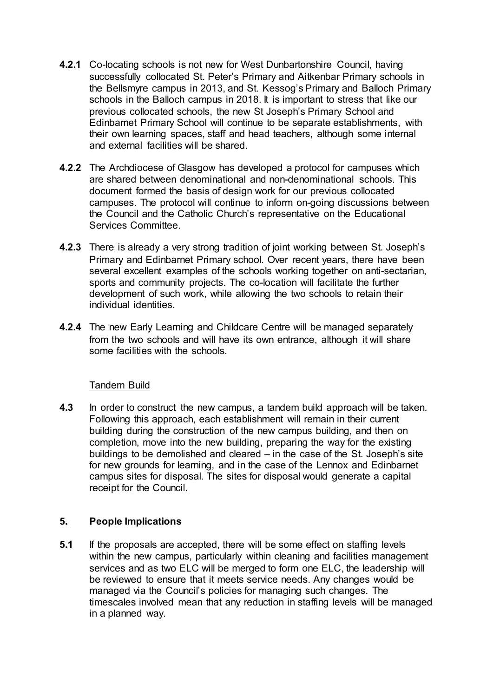- **4.2.1** Co-locating schools is not new for West Dunbartonshire Council, having successfully collocated St. Peter's Primary and Aitkenbar Primary schools in the Bellsmyre campus in 2013, and St. Kessog's Primary and Balloch Primary schools in the Balloch campus in 2018. It is important to stress that like our previous collocated schools, the new St Joseph's Primary School and Edinbarnet Primary School will continue to be separate establishments, with their own learning spaces, staff and head teachers, although some internal and external facilities will be shared.
- **4.2.2** The Archdiocese of Glasgow has developed a protocol for campuses which are shared between denominational and non-denominational schools. This document formed the basis of design work for our previous collocated campuses. The protocol will continue to inform on-going discussions between the Council and the Catholic Church's representative on the Educational Services Committee.
- **4.2.3** There is already a very strong tradition of joint working between St. Joseph's Primary and Edinbarnet Primary school. Over recent years, there have been several excellent examples of the schools working together on anti-sectarian, sports and community projects. The co-location will facilitate the further development of such work, while allowing the two schools to retain their individual identities.
- **4.2.4** The new Early Learning and Childcare Centre will be managed separately from the two schools and will have its own entrance, although it will share some facilities with the schools.

### Tandem Build

**4.3** In order to construct the new campus, a tandem build approach will be taken. Following this approach, each establishment will remain in their current building during the construction of the new campus building, and then on completion, move into the new building, preparing the way for the existing buildings to be demolished and cleared – in the case of the St. Joseph's site for new grounds for learning, and in the case of the Lennox and Edinbarnet campus sites for disposal. The sites for disposal would generate a capital receipt for the Council.

### **5. People Implications**

**5.1** If the proposals are accepted, there will be some effect on staffing levels within the new campus, particularly within cleaning and facilities management services and as two ELC will be merged to form one ELC, the leadership will be reviewed to ensure that it meets service needs. Any changes would be managed via the Council's policies for managing such changes. The timescales involved mean that any reduction in staffing levels will be managed in a planned way.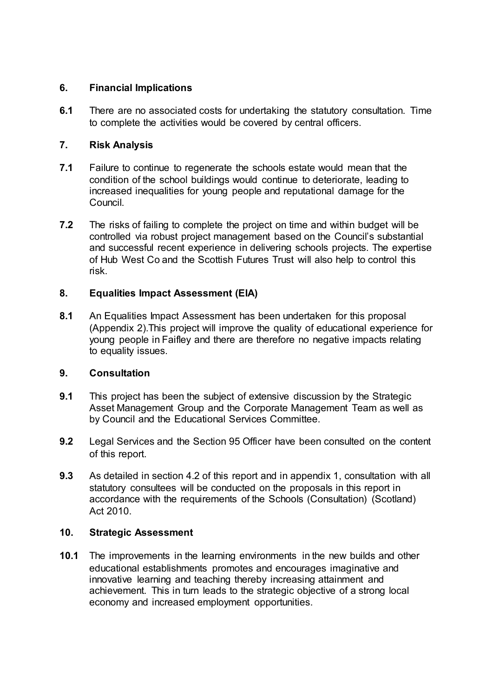# **6. Financial Implications**

**6.1** There are no associated costs for undertaking the statutory consultation. Time to complete the activities would be covered by central officers.

# **7. Risk Analysis**

- **7.1** Failure to continue to regenerate the schools estate would mean that the condition of the school buildings would continue to deteriorate, leading to increased inequalities for young people and reputational damage for the Council.
- **7.2** The risks of failing to complete the project on time and within budget will be controlled via robust project management based on the Council's substantial and successful recent experience in delivering schools projects. The expertise of Hub West Co and the Scottish Futures Trust will also help to control this risk.

### **8. Equalities Impact Assessment (EIA)**

**8.1** An Equalities Impact Assessment has been undertaken for this proposal (Appendix 2).This project will improve the quality of educational experience for young people in Faifley and there are therefore no negative impacts relating to equality issues.

### **9. Consultation**

- **9.1** This project has been the subject of extensive discussion by the Strategic Asset Management Group and the Corporate Management Team as well as by Council and the Educational Services Committee.
- **9.2** Legal Services and the Section 95 Officer have been consulted on the content of this report.
- **9.3** As detailed in section 4.2 of this report and in appendix 1, consultation with all statutory consultees will be conducted on the proposals in this report in accordance with the requirements of the Schools (Consultation) (Scotland) Act 2010.

### **10. Strategic Assessment**

**10.1** The improvements in the learning environments in the new builds and other educational establishments promotes and encourages imaginative and innovative learning and teaching thereby increasing attainment and achievement. This in turn leads to the strategic objective of a strong local economy and increased employment opportunities.